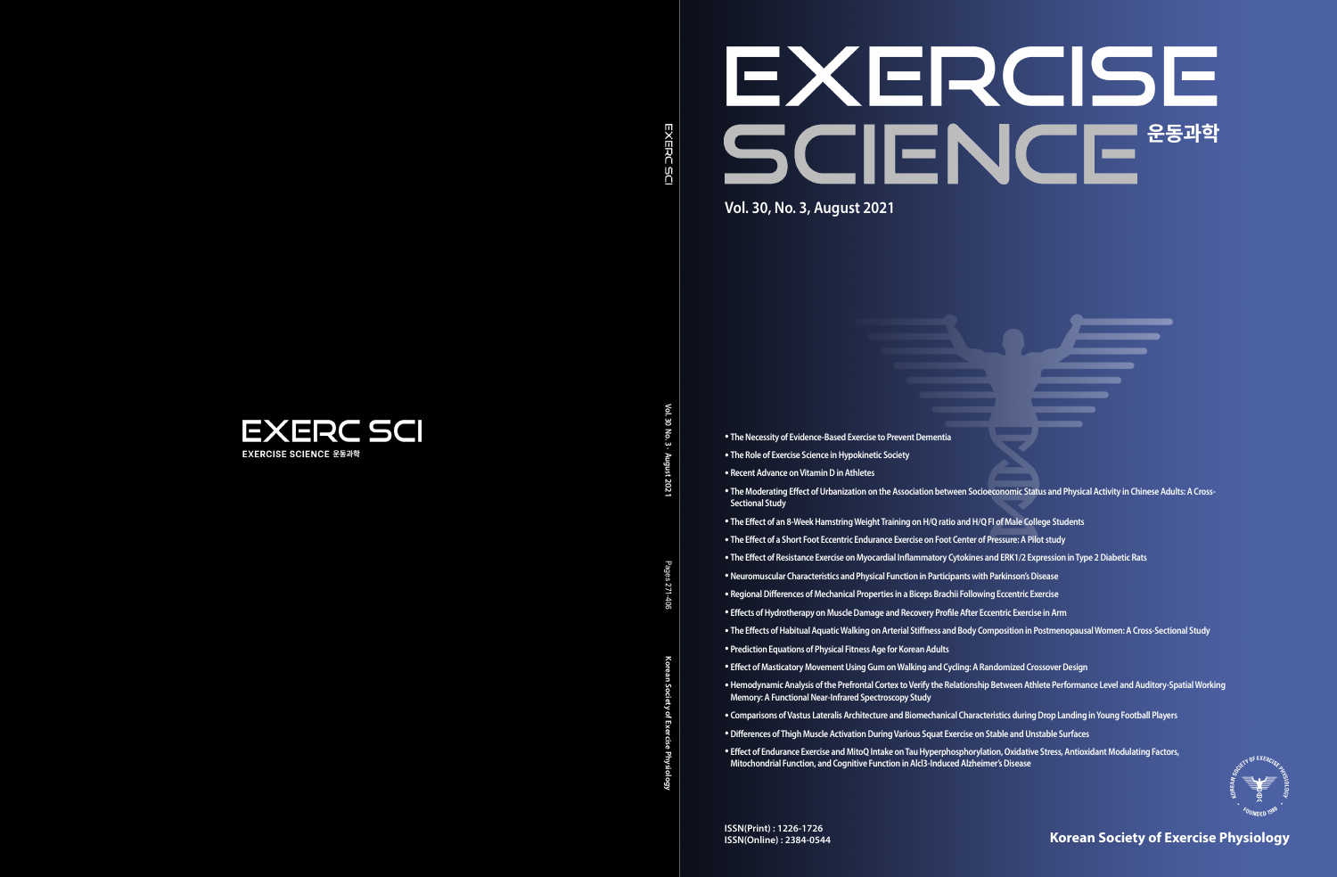**Korean Society of Exercise Physiology**





**EXERCISE SCIENCE 운동과학** 

Vol.30 **Vol. 30 No. 3 · August 2021** No. 3.

**Korean Society of Exercise Physiology** Pages 271-406

Pages

: 271-406

- 
- 
- 
- 
- 
- 
- 



- **The Necessity of Evidence-Based Exercise to Prevent Dementia**
- **The Role of Exercise Science in Hypokinetic Society**
- **Recent Advance on Vitamin D in Athletes**
- **The Moderating Effect of Urbanization on the Association between Socioeconomic Status and Physical Activity in Chinese Adults: A Cross-Sectional Study**
- **The Effect of an 8-Week Hamstring Weight Training on H/Q ratio and H/Q FI of Male College Students**
- **The Effect of a Short Foot Eccentric Endurance Exercise on Foot Center of Pressure: A Pilot study**
- **The Effect of Resistance Exercise on Myocardial Inflammatory Cytokines and ERK1/2 Expression in Type 2 Diabetic Rats**
- •**Neuromuscular Characteristics and Physical Function in Participants with Parkinson's Disease**
- **Regional Differences of Mechanical Properties in a Biceps Brachii Following Eccentric Exercise**
- **Effects of Hydrotherapy on Muscle Damage and Recovery Profile After Eccentric Exercise in Arm**
- **The Effects of Habitual Aquatic Walking on Arterial Stiffness and Body Composition in Postmenopausal Women: A Cross-Sectional Study**
- **Prediction Equations of Physical Fitness Age for Korean Adults**
- **Effect of Masticatory Movement Using Gum on Walking and Cycling: A Randomized Crossover Design**
- •**Hemodynamic Analysis of the Prefrontal Cortex to Verify the Relationship Between Athlete Performance Level and Auditory-Spatial Working Memory: A Functional Near-Infrared Spectroscopy Study**
- **Comparisons of Vastus Lateralis Architecture and Biomechanical Characteristics during Drop Landing in Young Football Players**
- •**Differences of Thigh Muscle Activation During Various Squat Exercise on Stable and Unstable Surfaces**
- **Effect of Endurance Exercise and MitoQ Intake on Tau Hyperphosphorylation, Oxidative Stress, Antioxidant Modulating Factors, Mitochondrial Function, and Cognitive Function in Alcl3-Induced Alzheimer's Disease**